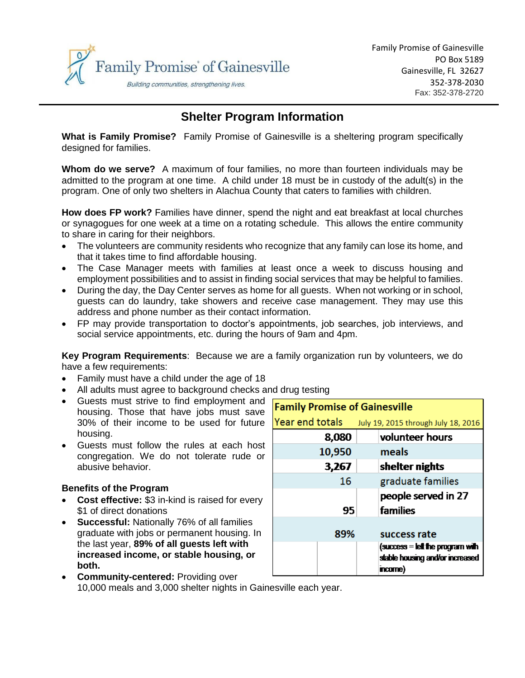

# **Shelter Program Information**

**What is Family Promise?** Family Promise of Gainesville is a sheltering program specifically designed for families.

**Whom do we serve?** A maximum of four families, no more than fourteen individuals may be admitted to the program at one time. A child under 18 must be in custody of the adult(s) in the program. One of only two shelters in Alachua County that caters to families with children.

**How does FP work?** Families have dinner, spend the night and eat breakfast at local churches or synagogues for one week at a time on a rotating schedule. This allows the entire community to share in caring for their neighbors.

- The volunteers are community residents who recognize that any family can lose its home, and that it takes time to find affordable housing.
- The Case Manager meets with families at least once a week to discuss housing and employment possibilities and to assist in finding social services that may be helpful to families.
- During the day, the Day Center serves as home for all guests. When not working or in school, guests can do laundry, take showers and receive case management. They may use this address and phone number as their contact information.
- FP may provide transportation to doctor's appointments, job searches, job interviews, and social service appointments, etc. during the hours of 9am and 4pm.

**Key Program Requirements**: Because we are a family organization run by volunteers, we do have a few requirements:

- Family must have a child under the age of 18
- All adults must agree to background checks and drug testing
- Guests must strive to find employment and housing. Those that have jobs must save 30% of their income to be used for future housing.
- Guests must follow the rules at each host congregation. We do not tolerate rude or abusive behavior.

## **Benefits of the Program**

- **Cost effective:** \$3 in-kind is raised for every \$1 of direct donations
- **Successful:** Nationally 76% of all families graduate with jobs or permanent housing. In the last year, **89% of all guests left with increased income, or stable housing, or both.**

| <b>Family Promise of Gainesville</b> |                                     |
|--------------------------------------|-------------------------------------|
|                                      |                                     |
| Year end totals                      | July 19, 2015 through July 18, 2016 |
| 8,080                                | volunteer hours                     |
| 10,950                               | meals                               |
| 3,267                                | shelter nights                      |
| 16                                   | graduate families                   |
|                                      | people served in 27                 |
| 95                                   | families                            |
|                                      |                                     |
| 89%                                  | success rate                        |
|                                      | $(success = left$ the program with  |
|                                      | stable housing and/or increased     |
|                                      | incorne)                            |

**• Community-centered: Providing over** 10,000 meals and 3,000 shelter nights in Gainesville each year.